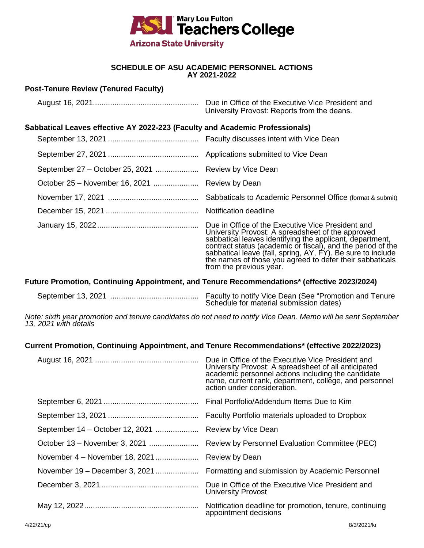

### **SCHEDULE OF ASU ACADEMIC PERSONNEL ACTIONS AY 2021-2022**

August 16, 2021................................................. Due in Office of the Executive Vice President and

# **Post-Tenure Review (Tenured Faculty)**

|                                                                                                                                                                                                                                        | University Provost: Reports from the deans.                                                                                                                                                                                                                                                                             |  |
|----------------------------------------------------------------------------------------------------------------------------------------------------------------------------------------------------------------------------------------|-------------------------------------------------------------------------------------------------------------------------------------------------------------------------------------------------------------------------------------------------------------------------------------------------------------------------|--|
| Sabbatical Leaves effective AY 2022-223 (Faculty and Academic Professionals)                                                                                                                                                           |                                                                                                                                                                                                                                                                                                                         |  |
|                                                                                                                                                                                                                                        |                                                                                                                                                                                                                                                                                                                         |  |
|                                                                                                                                                                                                                                        |                                                                                                                                                                                                                                                                                                                         |  |
| September 27 – October 25, 2021  Review by Vice Dean                                                                                                                                                                                   |                                                                                                                                                                                                                                                                                                                         |  |
| October 25 – November 16, 2021  Review by Dean                                                                                                                                                                                         |                                                                                                                                                                                                                                                                                                                         |  |
|                                                                                                                                                                                                                                        |                                                                                                                                                                                                                                                                                                                         |  |
|                                                                                                                                                                                                                                        | Notification deadline                                                                                                                                                                                                                                                                                                   |  |
|                                                                                                                                                                                                                                        | Due in Office of the Executive Vice President and<br>University Provost: A spreadsheet of the approved<br>sabbatical leaves identifying the applicant, department,<br>contract status (academic or fiscal), and the period of the<br>sabbatical leave (fall, spring, AY, FY). Be sure to inc<br>from the previous year. |  |
| Future Promotion, Continuing Appointment, and Tenure Recommendations* (effective 2023/2024)                                                                                                                                            |                                                                                                                                                                                                                                                                                                                         |  |
|                                                                                                                                                                                                                                        | Schedule for material submission dates)                                                                                                                                                                                                                                                                                 |  |
| Note: sixth year promotion and tenure candidates do not need to notify Vice Dean. Memo will be sent September<br>13, 2021 with details<br>Current Promotion, Continuing Appointment, and Tenure Recommendations* (effective 2022/2023) |                                                                                                                                                                                                                                                                                                                         |  |
|                                                                                                                                                                                                                                        | Due in Office of the Executive Vice President and<br>University Provost: A spreadsheet of all anticipated<br>academic personnel actions including the candidate<br>name, current rank, department, college, and personnel<br>action under consideration.                                                                |  |
|                                                                                                                                                                                                                                        |                                                                                                                                                                                                                                                                                                                         |  |
|                                                                                                                                                                                                                                        |                                                                                                                                                                                                                                                                                                                         |  |
| September 14 – October 12, 2021                                                                                                                                                                                                        | Review by Vice Dean                                                                                                                                                                                                                                                                                                     |  |
| October 13 – November 3, 2021                                                                                                                                                                                                          | Review by Personnel Evaluation Committee (PEC)                                                                                                                                                                                                                                                                          |  |
| November 4 - November 18, 2021                                                                                                                                                                                                         | Review by Dean                                                                                                                                                                                                                                                                                                          |  |
| November 19 – December 3, 2021                                                                                                                                                                                                         | Formatting and submission by Academic Personnel                                                                                                                                                                                                                                                                         |  |
|                                                                                                                                                                                                                                        | Due in Office of the Executive Vice President and<br><b>University Provost</b>                                                                                                                                                                                                                                          |  |
|                                                                                                                                                                                                                                        | Notification deadline for promotion, tenure, continuing<br>appointment decisions                                                                                                                                                                                                                                        |  |
| 4/22/21/cp                                                                                                                                                                                                                             | 8/3/2021/kr                                                                                                                                                                                                                                                                                                             |  |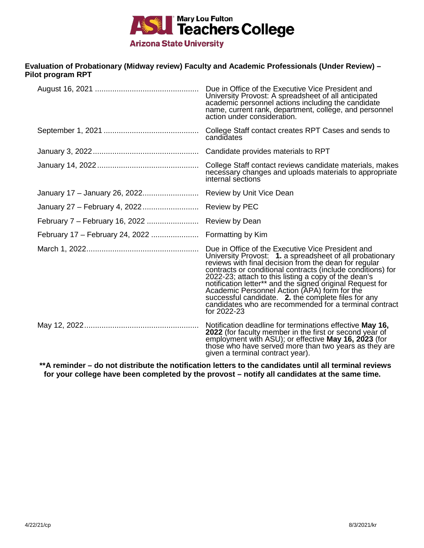

## **Evaluation of Probationary (Midway review) Faculty and Academic Professionals (Under Review) – Pilot program RPT**

| Due in Office of the Executive Vice President and<br>University Provost: A spreadsheet of all anticipated<br>academic personnel actions including the candidate<br>name, current rank, department, college, and personnel<br>action under consideration.                                                                                                                                                                                                                                                                                   |
|--------------------------------------------------------------------------------------------------------------------------------------------------------------------------------------------------------------------------------------------------------------------------------------------------------------------------------------------------------------------------------------------------------------------------------------------------------------------------------------------------------------------------------------------|
| College Staff contact creates RPT Cases and sends to<br>candidates                                                                                                                                                                                                                                                                                                                                                                                                                                                                         |
| Candidate provides materials to RPT                                                                                                                                                                                                                                                                                                                                                                                                                                                                                                        |
| College Staff contact reviews candidate materials, makes<br>necessary changes and uploads materials to appropriate<br>internal sections                                                                                                                                                                                                                                                                                                                                                                                                    |
|                                                                                                                                                                                                                                                                                                                                                                                                                                                                                                                                            |
|                                                                                                                                                                                                                                                                                                                                                                                                                                                                                                                                            |
|                                                                                                                                                                                                                                                                                                                                                                                                                                                                                                                                            |
|                                                                                                                                                                                                                                                                                                                                                                                                                                                                                                                                            |
| Due in Office of the Executive Vice President and<br>University Provost: 1. a spreadsheet of all probationary<br>reviews with final decision from the dean for regular<br>contracts or conditional contracts (include conditions) for<br>2022-23; attach to this listing a copy of the dean's<br>notification letter** and the signed original Request for<br>Academic Personnel Action (APA) form for the<br>successful candidate. 2. the complete files for any<br>candidates who are recommended for a terminal contract<br>for 2022-23 |
| Notification deadline for terminations effective May 16,<br>2022 (for faculty member in the first or second year of<br>employment with ASU); or effective May 16, 2023 (for those who have served more than two years as they are<br>given a terminal contract year).                                                                                                                                                                                                                                                                      |

**\*\*A reminder – do not distribute the notification letters to the candidates until all terminal reviews for your college have been completed by the provost – notify all candidates at the same time.**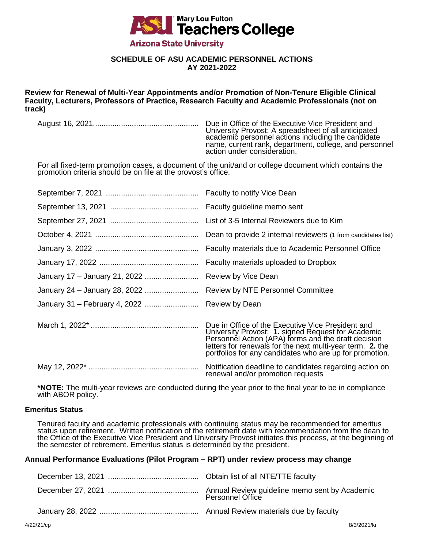

# **SCHEDULE OF ASU ACADEMIC PERSONNEL ACTIONS AY 2021-2022**

**Review for Renewal of Multi-Year Appointments and/or Promotion of Non-Tenure Eligible Clinical Faculty, Lecturers, Professors of Practice, Research Faculty and Academic Professionals (not on track)**

August 16, 2021................................................. Due in Office of the Executive Vice President and

University Provost: A spreadsheet of all anticipated academic personnel actions including the candidate name, current rank, department, college, and personnel action under consideration.

For all fixed-term promotion cases, a document of the unit/and or college document which contains the promotion criteria should be on file at the provost's office.

|                                               | List of 3-5 Internal Reviewers due to Kim                                                                                                                                                                                                                                              |
|-----------------------------------------------|----------------------------------------------------------------------------------------------------------------------------------------------------------------------------------------------------------------------------------------------------------------------------------------|
|                                               | Dean to provide 2 internal reviewers (1 from candidates list)                                                                                                                                                                                                                          |
|                                               | Faculty materials due to Academic Personnel Office                                                                                                                                                                                                                                     |
|                                               | Faculty materials uploaded to Dropbox                                                                                                                                                                                                                                                  |
|                                               |                                                                                                                                                                                                                                                                                        |
|                                               | <b>Review by NTE Personnel Committee</b>                                                                                                                                                                                                                                               |
| January 31 - February 4, 2022  Review by Dean |                                                                                                                                                                                                                                                                                        |
|                                               | Due in Office of the Executive Vice President and<br>University Provost: 1. signed Request for Academic<br>Personnél Action (APA) forms and the draft decision<br>letters for renewals for the next multi-year term. 2. the<br>portfolios for any candidates who are up for promotion. |
|                                               | Notification deadline to candidates regarding action on<br>renewal and/or promotion requests                                                                                                                                                                                           |

**\*NOTE:** The multi-year reviews are conducted during the year prior to the final year to be in compliance with ABOR policy.

### **Emeritus Status**

Tenured faculty and academic professionals with continuing status may be recommended for emeritus status upon retirement. Written notification of the retirement date with recommendation from the dean to the Office of the Executive Vice President and University Provost initiates this process, at the beginning of<br>the semester of retirement. Emeritus status is determined by the president.

#### **Annual Performance Evaluations (Pilot Program – RPT) under review process may change**